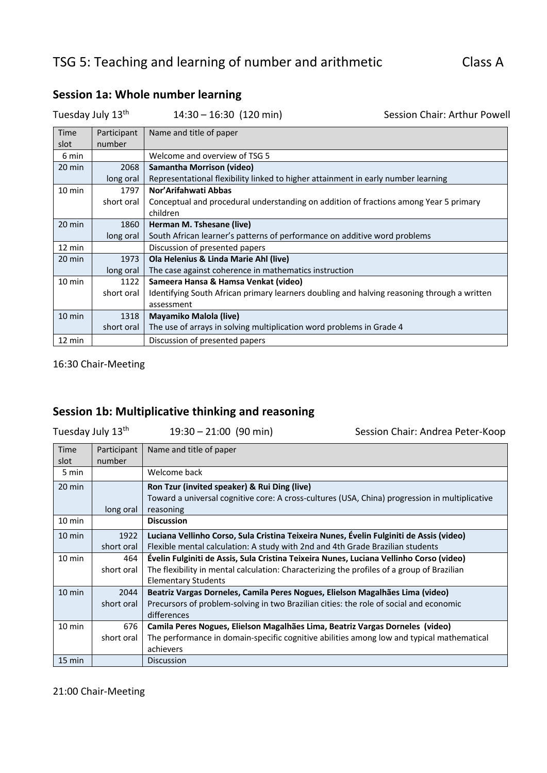| Tuesday July 13th |             | $14:30 - 16:30$ (120 min)                                                                   | Session Chair: Arthur Powell |
|-------------------|-------------|---------------------------------------------------------------------------------------------|------------------------------|
| Time              | Participant | Name and title of paper                                                                     |                              |
| slot              | number      |                                                                                             |                              |
| 6 min             |             | Welcome and overview of TSG 5                                                               |                              |
| 20 min            | 2068        | Samantha Morrison (video)                                                                   |                              |
|                   | long oral   | Representational flexibility linked to higher attainment in early number learning           |                              |
| $10 \text{ min}$  | 1797        | Nor'Arifahwati Abbas                                                                        |                              |
|                   | short oral  | Conceptual and procedural understanding on addition of fractions among Year 5 primary       |                              |
|                   |             | children                                                                                    |                              |
| $20 \text{ min}$  | 1860        | Herman M. Tshesane (live)                                                                   |                              |
|                   | long oral   | South African learner's patterns of performance on additive word problems                   |                              |
| $12 \text{ min}$  |             | Discussion of presented papers                                                              |                              |
| $20 \text{ min}$  | 1973        | Ola Helenius & Linda Marie Ahl (live)                                                       |                              |
|                   | long oral   | The case against coherence in mathematics instruction                                       |                              |
| 10 min            | 1122        | Sameera Hansa & Hamsa Venkat (video)                                                        |                              |
|                   | short oral  | Identifying South African primary learners doubling and halving reasoning through a written |                              |
|                   |             | assessment                                                                                  |                              |
| $10 \text{ min}$  | 1318        | Mayamiko Malola (live)                                                                      |                              |
|                   | short oral  | The use of arrays in solving multiplication word problems in Grade 4                        |                              |
| 12 min            |             | Discussion of presented papers                                                              |                              |

# **Session 1a: Whole number learning**

16:30 Chair-Meeting

# **Session 1b: Multiplicative thinking and reasoning**

| Tuesday July 13 <sup>th</sup> |                       | $19:30 - 21:00$ (90 min)                                                                                                                                                                                            | Session Chair: Andrea Peter-Koop |
|-------------------------------|-----------------------|---------------------------------------------------------------------------------------------------------------------------------------------------------------------------------------------------------------------|----------------------------------|
| Time<br>slot                  | Participant<br>number | Name and title of paper                                                                                                                                                                                             |                                  |
| 5 min                         |                       | Welcome back                                                                                                                                                                                                        |                                  |
| 20 min                        | long oral             | Ron Tzur (invited speaker) & Rui Ding (live)<br>Toward a universal cognitive core: A cross-cultures (USA, China) progression in multiplicative<br>reasoning                                                         |                                  |
| $10 \text{ min}$              |                       | <b>Discussion</b>                                                                                                                                                                                                   |                                  |
| $10 \text{ min}$              | 1922<br>short oral    | Luciana Vellinho Corso, Sula Cristina Teixeira Nunes, Évelin Fulginiti de Assis (video)<br>Flexible mental calculation: A study with 2nd and 4th Grade Brazilian students                                           |                                  |
| $10 \text{ min}$              | 464<br>short oral     | Évelin Fulginiti de Assis, Sula Cristina Teixeira Nunes, Luciana Vellinho Corso (video)<br>The flexibility in mental calculation: Characterizing the profiles of a group of Brazilian<br><b>Elementary Students</b> |                                  |
| 10 min                        | 2044<br>short oral    | Beatriz Vargas Dorneles, Camila Peres Nogues, Elielson Magalhães Lima (video)<br>Precursors of problem-solving in two Brazilian cities: the role of social and economic<br>differences                              |                                  |
| 10 min                        | 676<br>short oral     | Camila Peres Nogues, Elielson Magalhães Lima, Beatriz Vargas Dorneles (video)<br>The performance in domain-specific cognitive abilities among low and typical mathematical<br>achievers                             |                                  |
| 15 min                        |                       | Discussion                                                                                                                                                                                                          |                                  |

21:00 Chair-Meeting